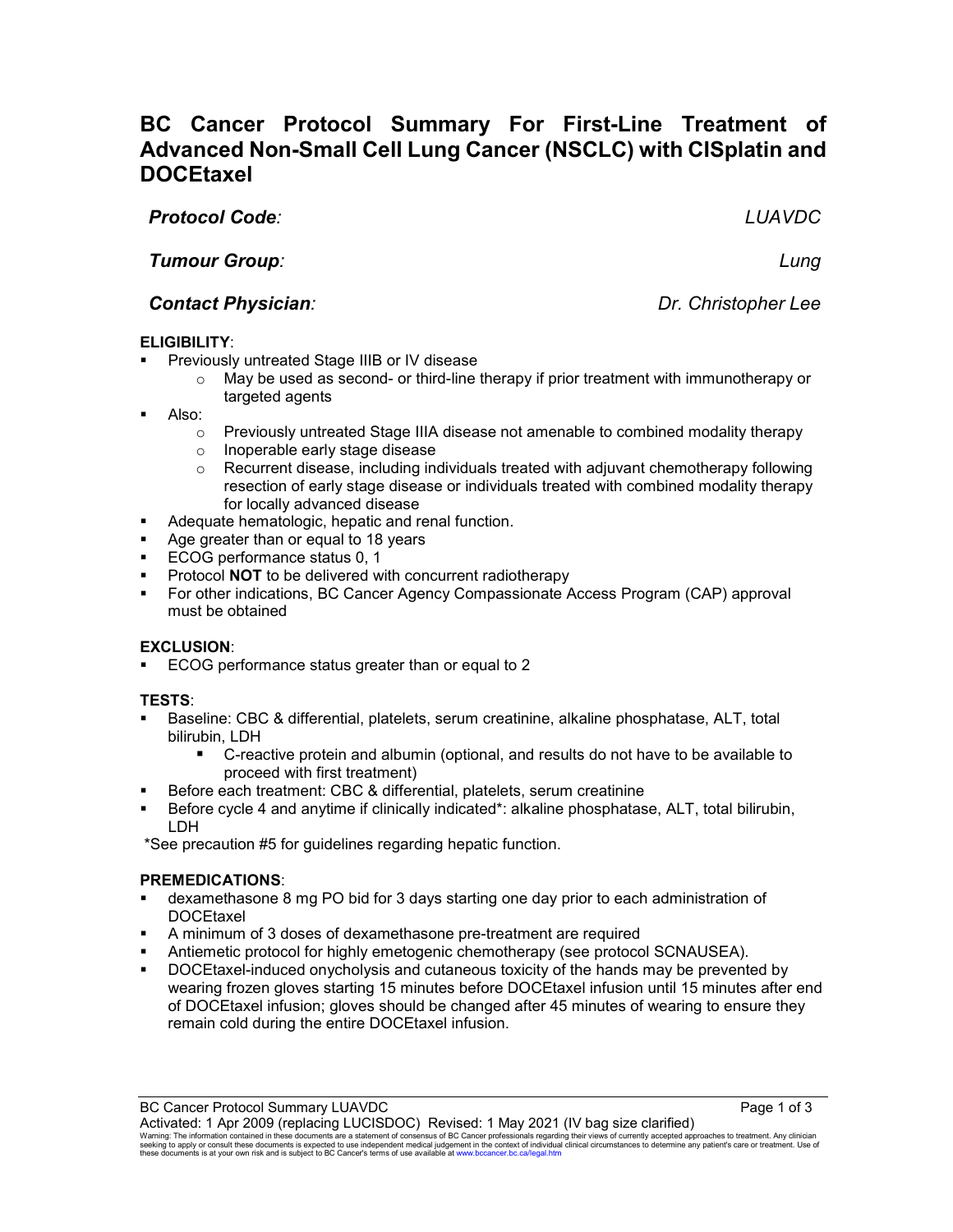# **BC Cancer Protocol Summary For First-Line Treatment of Advanced Non-Small Cell Lung Cancer (NSCLC) with CISplatin and DOCEtaxel**

*Protocol Code:**LUAVDC*

*Tumour Group: Lung*

## *Contact Physician: Dr. Christopher Lee*

## **ELIGIBILITY**:

- Previously untreated Stage IIIB or IV disease
	- $\circ$  May be used as second- or third-line therapy if prior treatment with immunotherapy or targeted agents
- Also:
	- $\circ$  Previously untreated Stage IIIA disease not amenable to combined modality therapy<br> $\circ$  Inoperable early stage disease
	-
	- o Inoperable early stage disease<br>○ Recurrent disease. including in Recurrent disease, including individuals treated with adjuvant chemotherapy following resection of early stage disease or individuals treated with combined modality therapy for locally advanced disease
- **Adequate hematologic, hepatic and renal function.**
- Age greater than or equal to 18 years
- **ECOG performance status 0, 1**
- Protocol **NOT** to be delivered with concurrent radiotherapy
- For other indications, BC Cancer Agency Compassionate Access Program (CAP) approval must be obtained

## **EXCLUSION**:

ECOG performance status greater than or equal to 2

## **TESTS**:

- Baseline: CBC & differential, platelets, serum creatinine, alkaline phosphatase, ALT, total bilirubin, LDH
	- C-reactive protein and albumin (optional, and results do not have to be available to proceed with first treatment)
- **Before each treatment: CBC & differential, platelets, serum creatinine**
- Before cycle 4 and anytime if clinically indicated\*: alkaline phosphatase, ALT, total bilirubin, LDH

\*See precaution #5 for guidelines regarding hepatic function.

## **PREMEDICATIONS**:

- dexamethasone 8 mg PO bid for 3 days starting one day prior to each administration of **DOCEtaxel**
- A minimum of 3 doses of dexamethasone pre-treatment are required
- Antiemetic protocol for highly emetogenic chemotherapy (see protocol SCNAUSEA).
- DOCEtaxel-induced onycholysis and cutaneous toxicity of the hands may be prevented by wearing frozen gloves starting 15 minutes before DOCEtaxel infusion until 15 minutes after end of DOCEtaxel infusion; gloves should be changed after 45 minutes of wearing to ensure they remain cold during the entire DOCEtaxel infusion.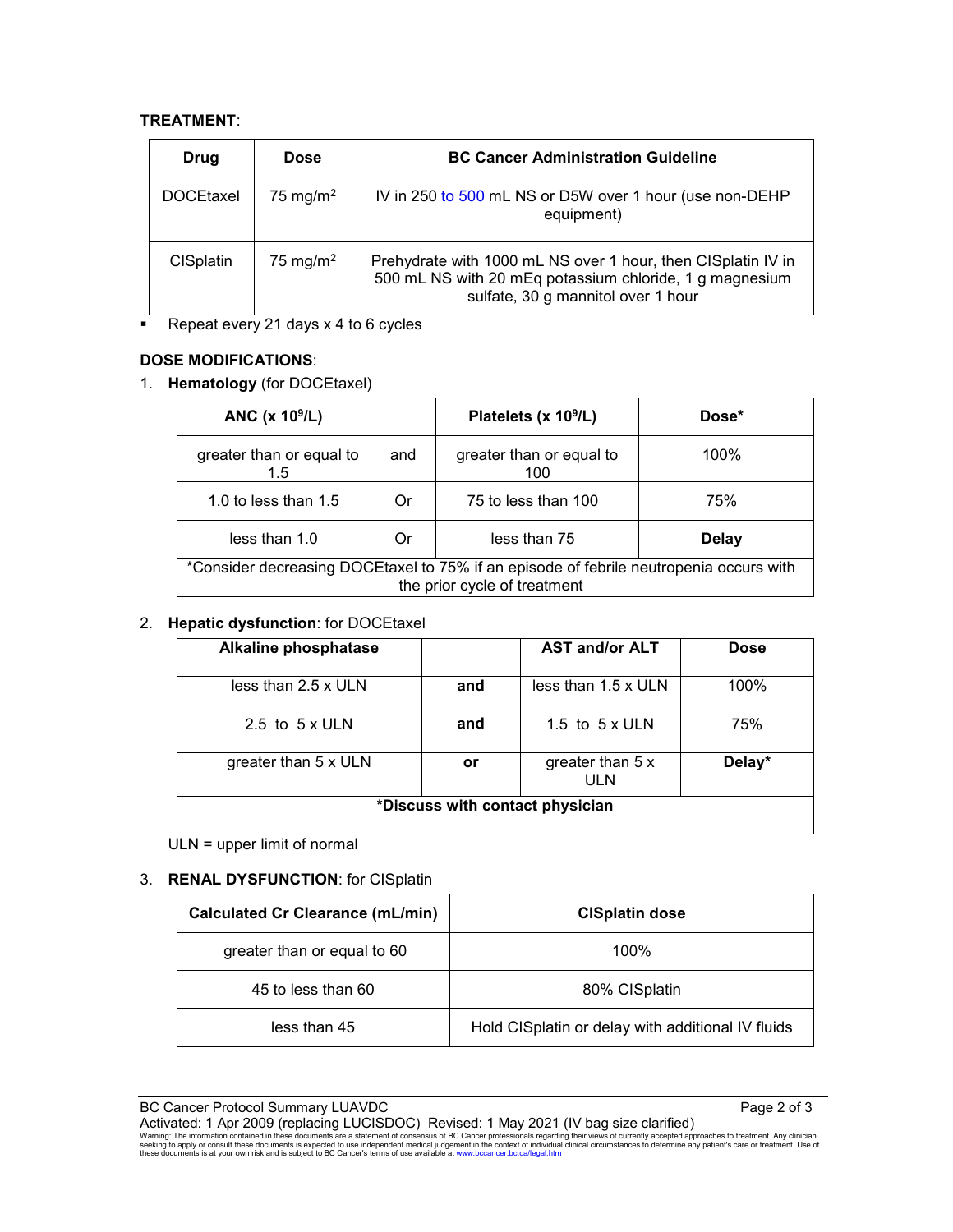### **TREATMENT**:

| Drug             | <b>Dose</b>          | <b>BC Cancer Administration Guideline</b>                                                                                                                     |  |
|------------------|----------------------|---------------------------------------------------------------------------------------------------------------------------------------------------------------|--|
| <b>DOCEtaxel</b> | 75 mg/m <sup>2</sup> | IV in 250 to 500 mL NS or D5W over 1 hour (use non-DEHP<br>equipment)                                                                                         |  |
| <b>CISplatin</b> | 75 mg/m <sup>2</sup> | Prehydrate with 1000 mL NS over 1 hour, then CISplatin IV in<br>500 mL NS with 20 mEq potassium chloride, 1 g magnesium<br>sulfate, 30 g mannitol over 1 hour |  |

Repeat every 21 days x 4 to 6 cycles

## **DOSE MODIFICATIONS**:

1. **Hematology** (for DOCEtaxel)

| ANC $(x 109/L)$                                                                                                        |     | Platelets (x 10 <sup>9</sup> /L) | Dose* |  |  |
|------------------------------------------------------------------------------------------------------------------------|-----|----------------------------------|-------|--|--|
| greater than or equal to<br>1.5                                                                                        | and | greater than or equal to<br>100  | 100%  |  |  |
| 1.0 to less than $1.5$                                                                                                 | Or  | 75 to less than 100              | 75%   |  |  |
| less than 1.0                                                                                                          | Or  | less than 75                     | Delay |  |  |
| *Consider decreasing DOCEtaxel to 75% if an episode of febrile neutropenia occurs with<br>the prior cycle of treatment |     |                                  |       |  |  |

## 2. **Hepatic dysfunction**: for DOCEtaxel

| <b>Alkaline phosphatase</b>     |     | <b>AST and/or ALT</b>      | <b>Dose</b> |  |
|---------------------------------|-----|----------------------------|-------------|--|
| less than $2.5 \times$ ULN      | and | less than $1.5 \times$ ULN | $100\%$     |  |
| 2.5 to $5 \times$ ULN           | and | 1.5 to $5 \times$ ULN      | 75%         |  |
| greater than 5 x ULN            | or  | greater than 5 x<br>ULN    | Delay*      |  |
| *Discuss with contact physician |     |                            |             |  |

ULN = upper limit of normal

## 3. **RENAL DYSFUNCTION**: for CISplatin

| <b>Calculated Cr Clearance (mL/min)</b> | <b>CISplatin dose</b>                             |  |
|-----------------------------------------|---------------------------------------------------|--|
| greater than or equal to 60             | 100%                                              |  |
| 45 to less than 60                      | 80% CISplatin                                     |  |
| less than 45                            | Hold CISplatin or delay with additional IV fluids |  |